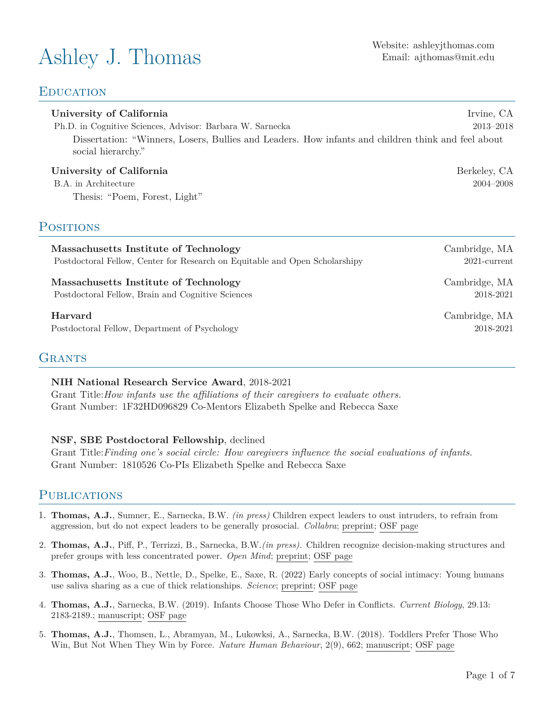# Ashley J. Thomas Website: [ashleyjthomas.com](https://ashleyjthomas.com/)

## **EDUCATION**

#### **University of California Irvine, CA**

Ph.D. in Cognitive Sciences, Advisor: Barbara W. Sarnecka 2013–2018

Dissertation: "Winners, Losers, Bullies and Leaders. How infants and children think and feel about social hierarchy."

#### **University of California** Berkeley, CA

B.A. in Architecture 2004–2008 Thesis: "Poem, Forest, Light"

## **POSITIONS**

**Massachusetts Institute of Technology** Cambridge, MA Postdoctoral Fellow, Center for Research on Equitable and Open Scholarshipy 2021-current

**Massachusetts Institute of Technology** Cambridge, MA Postdoctoral Fellow, Brain and Cognitive Sciences 2018-2021

Postdoctoral Fellow, Department of Psychology 2018-2021

## **GRANTS**

#### **NIH National Research Service Award**, 2018-2021

Grant Title:*How infants use the affiliations of their caregivers to evaluate others.* Grant Number: 1F32HD096829 Co-Mentors Elizabeth Spelke and Rebecca Saxe

#### **NSF, SBE Postdoctoral Fellowship**, declined

Grant Title:*Finding one's social circle: How caregivers influence the social evaluations of infants.* Grant Number: 1810526 Co-PIs Elizabeth Spelke and Rebecca Saxe

### **PUBLICATIONS**

- 1. **Thomas, A.J.**, Sumner, E., Sarnecka, B.W. *(in press)* Children expect leaders to oust intruders, to refrain from aggression, but do not expect leaders to be generally prosocial. *Collabra*; [preprint](https://psyarxiv.com/txvsd/); [OSF page](https://osf.io/4vezr/)
- 2. **Thomas, A.J.**, Piff, P., Terrizzi, B., Sarnecka, B.W.*(in press).* Children recognize decision-making structures and prefer groups with less concentrated power. *Open Mind*; [preprint;](https://psyarxiv.com/32x6r) [OSF page](https://osf.io/s6cu9/)
- 3. **Thomas, A.J.**, Woo, B., Nettle, D., Spelke, E., Saxe, R. (2022) Early concepts of social intimacy: Young humans use saliva sharing as a cue of thick relationships. *Science*; [preprint](https://osf.io/zm5w3/?view_only=01cef92801394929bc884fbcb9ffdbdb); [OSF page](https://osf.io/a8htx/?view_only=01cef92801394929bc884fbcb9ffdbdb)
- 4. **Thomas, A.J.**, Sarnecka, B.W. (2019). Infants Choose Those Who Defer in Conflicts. *Current Biology*, 29.13: 2183-2189.; [manuscript](https://osf.io/79zp3/?view_only=317b3e4461814b609157cb57ede2c85a); [OSF page](https://osf.io/nyefd/)
- 5. **Thomas, A.J.**, Thomsen, L., Abramyan, M., Lukowksi, A., Sarnecka, B.W. (2018). Toddlers Prefer Those Who Win, But Not When They Win by Force. *Nature Human Behaviour*, 2(9), 662; [manuscript](https://osf.io/sz3vt/?view_only=e431a7f95342452fbfe2b525ca4e56b7); [OSF page](https://osf.io/km5by/)

**Harvard** Cambridge, MA

Email: [ajthomas@mit.edu](mailto:ajthomas@mit.edu)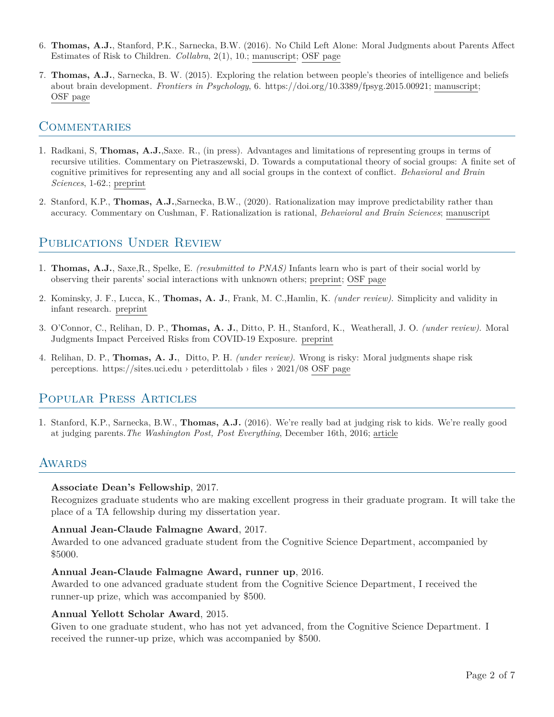- 6. **Thomas, A.J.**, Stanford, P.K., Sarnecka, B.W. (2016). No Child Left Alone: Moral Judgments about Parents Affect Estimates of Risk to Children. *Collabra*, 2(1), 10.; [manuscript](https://online.ucpress.edu/collabra/article/2/1/10/112682/No-Child-Left-Alone-Moral-Judgments-about-Parents); [OSF page](https://osf.io/dr7hg/)
- 7. **Thomas, A.J.**, Sarnecka, B. W. (2015). Exploring the relation between people's theories of intelligence and beliefs about brain development. *Frontiers in Psychology*, 6. https://doi.org/10.3389/fpsyg.2015.00921; [manuscript;](https://www.frontiersin.org/articles/10.3389/fpsyg.2015.00921/full) [OSF page](https://osf.io/45vge/)

## **COMMENTARIES**

- 1. Radkani, S, **Thomas, A.J.**,Saxe. R., (in press). Advantages and limitations of representing groups in terms of recursive utilities. Commentary on Pietraszewski, D. Towards a computational theory of social groups: A finite set of cognitive primitives for representing any and all social groups in the context of conflict. *Behavioral and Brain Sciences*, 1-62.; [preprint](https://docs.google.com/document/d/1eybHUAFyx5qrL-2Aj-S9yNLK1RxfGY4AMW1UAdyzWUY/edit?usp=sharing)
- 2. Stanford, K.P., **Thomas, A.J.**,Sarnecka, B.W., (2020). Rationalization may improve predictability rather than accuracy. Commentary on Cushman, F. Rationalization is rational, *Behavioral and Brain Sciences*; [manuscript](https://escholarship.org/content/qt2qs8312t/qt2qs8312t.pdf)

# PUBLICATIONS UNDER REVIEW

- 1. **Thomas, A.J.**, Saxe,R., Spelke, E. *(resubmitted to PNAS)* Infants learn who is part of their social world by observing their parents' social interactions with unknown others; [preprint;](https://osf.io/36whe/?view_only=30b804f582284b56b7fca0fee5306d13) [OSF page](https://osf.io/z8r7t/?view_only=185e717fb2474e4ca40241c445745172)
- 2. Kominsky, J. F., Lucca, K., **Thomas, A. J.**, Frank, M. C.,Hamlin, K. *(under review)*. Simplicity and validity in infant research. [preprint](https://psyarxiv.com/6j9p3/)
- 3. O'Connor, C., Relihan, D. P., **Thomas, A. J.**, Ditto, P. H., Stanford, K., Weatherall, J. O. *(under review)*. Moral Judgments Impact Perceived Risks from COVID-19 Exposure. [preprint](https://psyarxiv.com/59s2g)
- 4. Relihan, D. P., **Thomas, A. J.**, Ditto, P. H. *(under review)*. Wrong is risky: Moral judgments shape risk perceptions. https://sites.uci.edu › peterdittolab › files › 2021/08 [OSF page](https://osf.io/fcr5h/?view_only=bccf6d6cb57e473e974bb1e8b7522776/)

# Popular Press Articles

1. Stanford, K.P., Sarnecka, B.W., **Thomas, A.J.** (2016). We're really bad at judging risk to kids. We're really good at judging parents.*The Washington Post, Post Everything*, December 16th, 2016; [article](https://osf.io/7utkb/?view_only=7d89a1cdb6df4d0297a9c62b1ceea017)

# AWARDS

#### **Associate Dean's Fellowship**, 2017.

Recognizes graduate students who are making excellent progress in their graduate program. It will take the place of a TA fellowship during my dissertation year.

#### **Annual Jean-Claude Falmagne Award**, 2017.

Awarded to one advanced graduate student from the Cognitive Science Department, accompanied by \$5000.

#### **Annual Jean-Claude Falmagne Award, runner up**, 2016.

Awarded to one advanced graduate student from the Cognitive Science Department, I received the runner-up prize, which was accompanied by \$500.

#### **Annual Yellott Scholar Award**, 2015.

Given to one graduate student, who has not yet advanced, from the Cognitive Science Department. I received the runner-up prize, which was accompanied by \$500.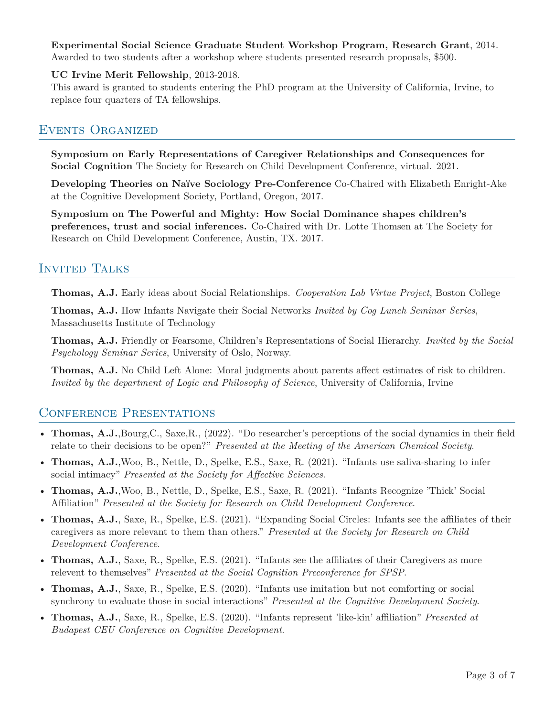#### **Experimental Social Science Graduate Student Workshop Program, Research Grant**, 2014. Awarded to two students after a workshop where students presented research proposals, \$500.

## **UC Irvine Merit Fellowship**, 2013-2018.

This award is granted to students entering the PhD program at the University of California, Irvine, to replace four quarters of TA fellowships.

## Events Organized

**Symposium on Early Representations of Caregiver Relationships and Consequences for Social Cognition** The Society for Research on Child Development Conference, virtual. 2021.

**Developing Theories on Naïve Sociology Pre-Conference** Co-Chaired with Elizabeth Enright-Ake at the Cognitive Development Society, Portland, Oregon, 2017.

**Symposium on The Powerful and Mighty: How Social Dominance shapes children's preferences, trust and social inferences.** Co-Chaired with Dr. Lotte Thomsen at The Society for Research on Child Development Conference, Austin, TX. 2017.

# Invited Talks

**Thomas, A.J.** Early ideas about Social Relationships. *Cooperation Lab Virtue Project*, Boston College

**Thomas, A.J.** How Infants Navigate their Social Networks *Invited by Cog Lunch Seminar Series*, Massachusetts Institute of Technology

**Thomas, A.J.** Friendly or Fearsome, Children's Representations of Social Hierarchy. *Invited by the Social Psychology Seminar Series*, University of Oslo, Norway.

**Thomas, A.J.** No Child Left Alone: Moral judgments about parents affect estimates of risk to children. *Invited by the department of Logic and Philosophy of Science*, University of California, Irvine

# CONFERENCE PRESENTATIONS

- **Thomas, A.J.**,Bourg,C., Saxe,R., (2022). "Do researcher's perceptions of the social dynamics in their field relate to their decisions to be open?" *Presented at the Meeting of the American Chemical Society*.
- **Thomas, A.J.**,Woo, B., Nettle, D., Spelke, E.S., Saxe, R. (2021). "Infants use saliva-sharing to infer social intimacy" *Presented at the Society for Affective Sciences*.
- **Thomas, A.J.**,Woo, B., Nettle, D., Spelke, E.S., Saxe, R. (2021). "Infants Recognize 'Thick' Social Affiliation" *Presented at the Society for Research on Child Development Conference*.
- **Thomas, A.J.**, Saxe, R., Spelke, E.S. (2021). "Expanding Social Circles: Infants see the affiliates of their caregivers as more relevant to them than others." *Presented at the Society for Research on Child Development Conference*.
- **Thomas, A.J.**, Saxe, R., Spelke, E.S. (2021). "Infants see the affiliates of their Caregivers as more relevent to themselves" *Presented at the Social Cognition Preconference for SPSP*.
- **Thomas, A.J.**, Saxe, R., Spelke, E.S. (2020). "Infants use imitation but not comforting or social synchrony to evaluate those in social interactions" *Presented at the Cognitive Development Society*.
- **Thomas, A.J.**, Saxe, R., Spelke, E.S. (2020). "Infants represent 'like-kin' affiliation" *Presented at Budapest CEU Conference on Cognitive Development*.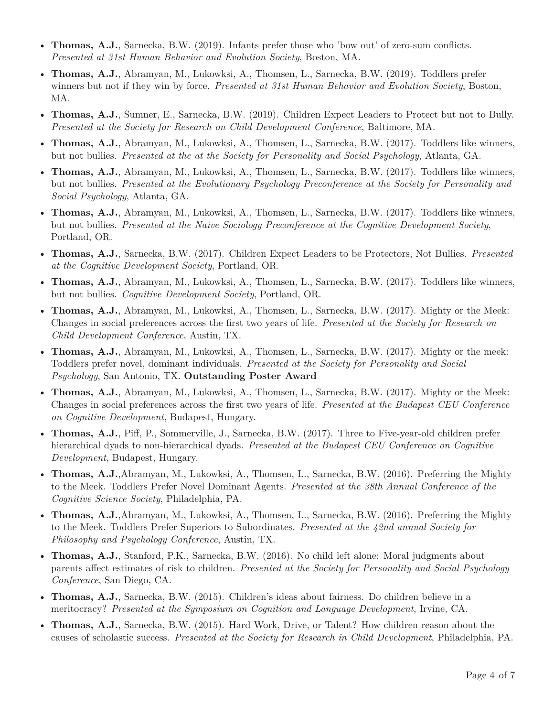- **Thomas, A.J.**, Sarnecka, B.W. (2019). Infants prefer those who 'bow out' of zero-sum conflicts. *Presented at 31st Human Behavior and Evolution Society*, Boston, MA.
- **Thomas, A.J.**, Abramyan, M., Lukowksi, A., Thomsen, L., Sarnecka, B.W. (2019). Toddlers prefer winners but not if they win by force. *Presented at 31st Human Behavior and Evolution Society*, Boston, MA.
- **Thomas, A.J.**, Sumner, E., Sarnecka, B.W. (2019). Children Expect Leaders to Protect but not to Bully. *Presented at the Society for Research on Child Development Conference*, Baltimore, MA.
- **Thomas, A.J.**, Abramyan, M., Lukowksi, A., Thomsen, L., Sarnecka, B.W. (2017). Toddlers like winners, but not bullies. *Presented at the at the Society for Personality and Social Psychology*, Atlanta, GA.
- **Thomas, A.J.**, Abramyan, M., Lukowksi, A., Thomsen, L., Sarnecka, B.W. (2017). Toddlers like winners, but not bullies. *Presented at the Evolutionary Psychology Preconference at the Society for Personality and Social Psychology*, Atlanta, GA.
- **Thomas, A.J.**, Abramyan, M., Lukowksi, A., Thomsen, L., Sarnecka, B.W. (2017). Toddlers like winners, but not bullies. *Presented at the Naive Sociology Preconference at the Cognitive Development Society*, Portland, OR.
- **Thomas, A.J.**, Sarnecka, B.W. (2017). Children Expect Leaders to be Protectors, Not Bullies. *Presented at the Cognitive Development Society*, Portland, OR.
- **Thomas, A.J.**, Abramyan, M., Lukowksi, A., Thomsen, L., Sarnecka, B.W. (2017). Toddlers like winners, but not bullies. *Cognitive Development Society*, Portland, OR.
- **Thomas, A.J.**, Abramyan, M., Lukowksi, A., Thomsen, L., Sarnecka, B.W. (2017). Mighty or the Meek: Changes in social preferences across the first two years of life. *Presented at the Society for Research on Child Development Conference*, Austin, TX.
- **Thomas, A.J.**, Abramyan, M., Lukowksi, A., Thomsen, L., Sarnecka, B.W. (2017). Mighty or the meek: Toddlers prefer novel, dominant individuals. *Presented at the Society for Personality and Social Psychology*, San Antonio, TX. **Outstanding Poster Award**
- **Thomas, A.J.**, Abramyan, M., Lukowksi, A., Thomsen, L., Sarnecka, B.W. (2017). Mighty or the Meek: Changes in social preferences across the first two years of life. *Presented at the Budapest CEU Conference on Cognitive Development*, Budapest, Hungary.
- **Thomas, A.J.**, Piff, P., Sommerville, J., Sarnecka, B.W. (2017). Three to Five-year-old children prefer hierarchical dyads to non-hierarchical dyads. *Presented at the Budapest CEU Conference on Cognitive Development*, Budapest, Hungary.
- **Thomas, A.J.**,Abramyan, M., Lukowksi, A., Thomsen, L., Sarnecka, B.W. (2016). Preferring the Mighty to the Meek. Toddlers Prefer Novel Dominant Agents. *Presented at the 38th Annual Conference of the Cognitive Science Society*, Philadelphia, PA.
- **Thomas, A.J.**,Abramyan, M., Lukowksi, A., Thomsen, L., Sarnecka, B.W. (2016). Preferring the Mighty to the Meek. Toddlers Prefer Superiors to Subordinates. *Presented at the 42nd annual Society for Philosophy and Psychology Conference*, Austin, TX.
- **Thomas, A.J.**, Stanford, P.K., Sarnecka, B.W. (2016). No child left alone: Moral judgments about parents affect estimates of risk to children. *Presented at the Society for Personality and Social Psychology Conference*, San Diego, CA.
- **Thomas, A.J.**, Sarnecka, B.W. (2015). Children's ideas about fairness. Do children believe in a meritocracy? *Presented at the Symposium on Cognition and Language Development*, Irvine, CA.
- **Thomas, A.J.**, Sarnecka, B.W. (2015). Hard Work, Drive, or Talent? How children reason about the causes of scholastic success. *Presented at the Society for Research in Child Development*, Philadelphia, PA.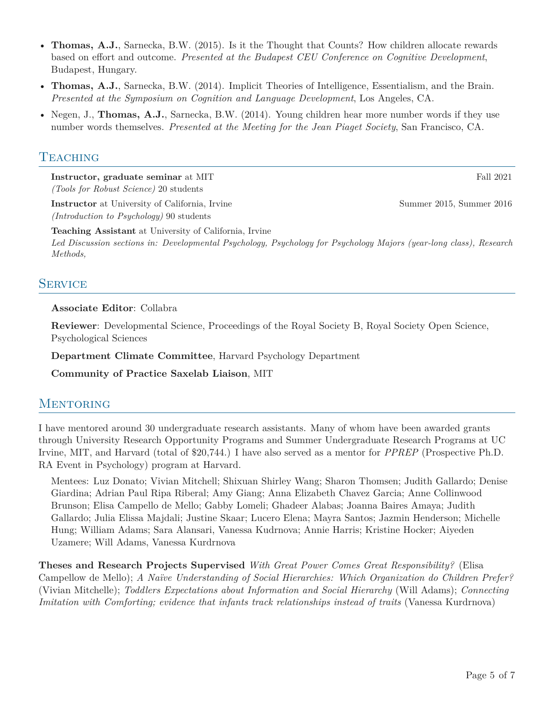- **Thomas, A.J.**, Sarnecka, B.W. (2015). Is it the Thought that Counts? How children allocate rewards based on effort and outcome. *Presented at the Budapest CEU Conference on Cognitive Development*, Budapest, Hungary.
- **Thomas, A.J.**, Sarnecka, B.W. (2014). Implicit Theories of Intelligence, Essentialism, and the Brain. *Presented at the Symposium on Cognition and Language Development*, Los Angeles, CA.
- Negen, J., **Thomas, A.J.**, Sarnecka, B.W. (2014). Young children hear more number words if they use number words themselves. *Presented at the Meeting for the Jean Piaget Society*, San Francisco, CA.

## **TEACHING**

**Instructor, graduate seminar** at MIT Fall 2021 *(Tools for Robust Science)* 20 students

**Instructor** at University of California, Irvine Summer 2015, Summer 2016 *(Introduction to Psychology)* 90 students

**Teaching Assistant** at University of California, Irvine

*Led Discussion sections in: Developmental Psychology, Psychology for Psychology Majors (year-long class), Research Methods,*

## **SERVICE**

#### **Associate Editor**: Collabra

**Reviewer**: Developmental Science, Proceedings of the Royal Society B, Royal Society Open Science, Psychological Sciences

**Department Climate Committee**, Harvard Psychology Department

**Community of Practice Saxelab Liaison**, MIT

## **MENTORING**

I have mentored around 30 undergraduate research assistants. Many of whom have been awarded grants through University Research Opportunity Programs and Summer Undergraduate Research Programs at UC Irvine, MIT, and Harvard (total of \$20,744.) I have also served as a mentor for *PPREP* (Prospective Ph.D. RA Event in Psychology) program at Harvard.

Mentees: Luz Donato; Vivian Mitchell; Shixuan Shirley Wang; Sharon Thomsen; Judith Gallardo; Denise Giardina; Adrian Paul Ripa Riberal; Amy Giang; Anna Elizabeth Chavez Garcia; Anne Collinwood Brunson; Elisa Campello de Mello; Gabby Lomeli; Ghadeer Alabas; Joanna Baires Amaya; Judith Gallardo; Julia Elissa Majdali; Justine Skaar; Lucero Elena; Mayra Santos; Jazmin Henderson; Michelle Hung; William Adams; Sara Alansari, Vanessa Kudrnova; Annie Harris; Kristine Hocker; Aiyeden Uzamere; Will Adams, Vanessa Kurdrnova

**Theses and Research Projects Supervised** *With Great Power Comes Great Responsibility?* (Elisa Campellow de Mello); *A Naïve Understanding of Social Hierarchies: Which Organization do Children Prefer?* (Vivian Mitchelle); *Toddlers Expectations about Information and Social Hierarchy* (Will Adams); *Connecting Imitation with Comforting; evidence that infants track relationships instead of traits* (Vanessa Kurdrnova)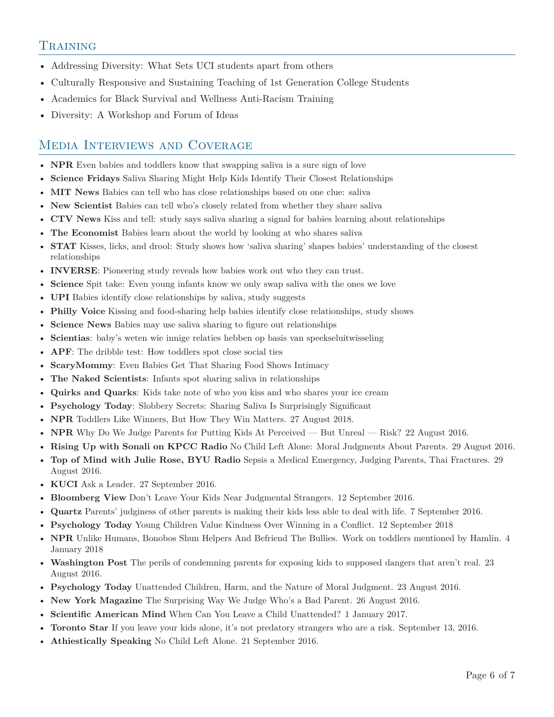# **TRAINING**

- Addressing Diversity: What Sets UCI students apart from others
- Culturally Responsive and Sustaining Teaching of 1st Generation College Students
- Academics for Black Survival and Wellness Anti-Racism Training
- Diversity: A Workshop and Forum of Ideas

# Media Interviews and Coverage

- **NPR** Even babies and toddlers know that swapping saliva is a sure sign of love
- **Science Fridays** Saliva Sharing Might Help Kids Identify Their Closest Relationships
- **MIT News** Babies can tell who has close relationships based on one clue: saliva
- **New Scientist** Babies can tell who's closely related from whether they share saliva
- **CTV News** Kiss and tell: study says saliva sharing a signal for babies learning about relationships
- **The Economist** Babies learn about the world by looking at who shares saliva
- **STAT** Kisses, licks, and drool: Study shows how 'saliva sharing' shapes babies' understanding of the closest relationships
- **INVERSE**: Pioneering study reveals how babies work out who they can trust.
- **Science** Spit take: Even young infants know we only swap saliva with the ones we love
- **UPI** Babies identify close relationships by saliva, study suggests
- **Philly Voice** Kissing and food-sharing help babies identify close relationships, study shows
- **Science News** Babies may use saliva sharing to figure out relationships
- **Scientias**: baby's weten wie innige relaties hebben op basis van speekseluitwisseling
- **APF**: The dribble test: How toddlers spot close social ties
- **ScaryMommy**: Even Babies Get That Sharing Food Shows Intimacy
- **The Naked Scientists**: Infants spot sharing saliva in relationships
- **Quirks and Quarks**: Kids take note of who you kiss and who shares your ice cream
- **Psychology Today**: Slobbery Secrets: Sharing Saliva Is Surprisingly Significant
- **NPR** Toddlers Like Winners, But How They Win Matters. 27 August 2018.
- **NPR** Why Do We Judge Parents for Putting Kids At Perceived But Unreal Risk? 22 August 2016.
- **Rising Up with Sonali on KPCC Radio** No Child Left Alone: Moral Judgments About Parents. 29 August 2016.
- **Top of Mind with Julie Rose, BYU Radio** Sepsis a Medical Emergency, Judging Parents, Thai Fractures. 29 August 2016.
- **KUCI** Ask a Leader. 27 September 2016.
- **Bloomberg View** Don't Leave Your Kids Near Judgmental Strangers. 12 September 2016.
- **Quartz** Parents' judginess of other parents is making their kids less able to deal with life. 7 September 2016.
- **Psychology Today** Young Children Value Kindness Over Winning in a Conflict. 12 September 2018
- **NPR** Unlike Humans, Bonobos Shun Helpers And Befriend The Bullies. Work on toddlers mentioned by Hamlin. 4 January 2018
- **Washington Post** The perils of condemning parents for exposing kids to supposed dangers that aren't real. 23 August 2016.
- **Psychology Today** Unattended Children, Harm, and the Nature of Moral Judgment. 23 August 2016.
- **New York Magazine** The Surprising Way We Judge Who's a Bad Parent. 26 August 2016.
- **Scientific American Mind** When Can You Leave a Child Unattended? 1 January 2017.
- **Toronto Star** If you leave your kids alone, it's not predatory strangers who are a risk. September 13, 2016.
- **Athiestically Speaking** No Child Left Alone. 21 September 2016.